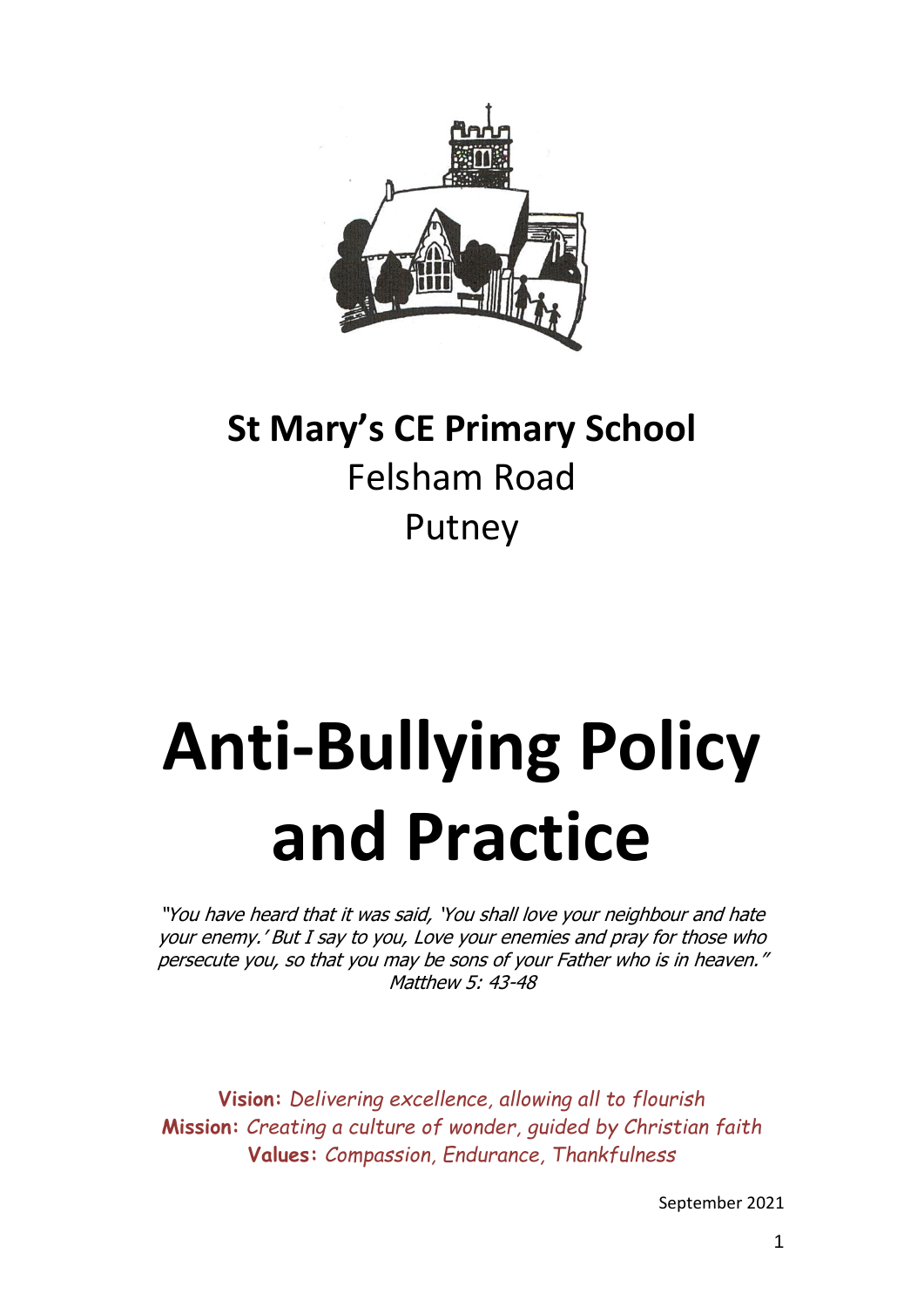

# **St Mary's CE Primary School** Felsham Road Putney

# **Anti-Bullying Policy and Practice**

"You have heard that it was said, 'You shall love your neighbour and hate your enemy.' But I say to you, Love your enemies and pray for those who persecute you, so that you may be sons of your Father who is in heaven." Matthew 5: 43-48

**Vision:** *Delivering excellence, allowing all to flourish* **Mission:** *Creating a culture of wonder, guided by Christian faith* **Values:** *Compassion, Endurance, Thankfulness*

September 2021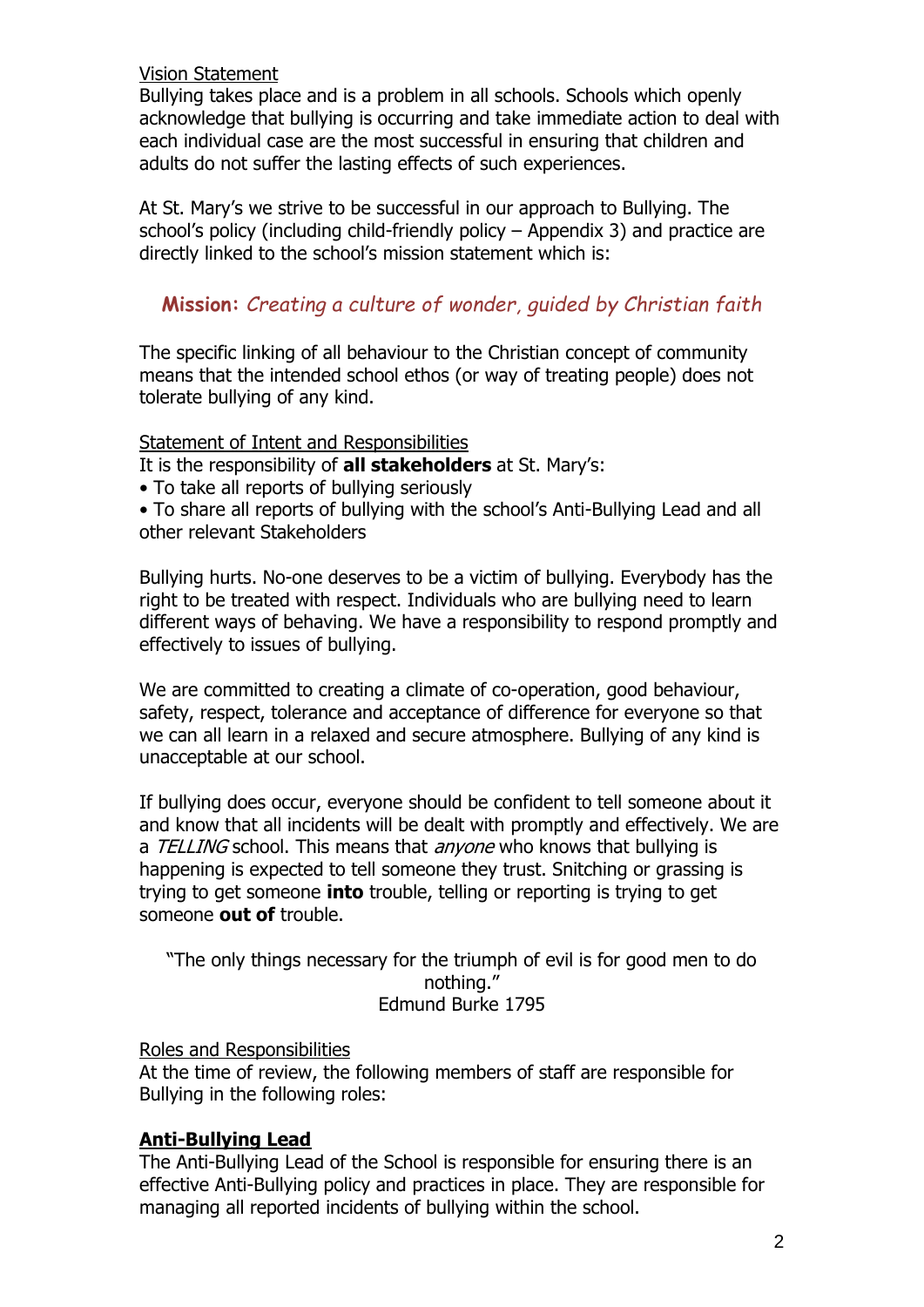Vision Statement

Bullying takes place and is a problem in all schools. Schools which openly acknowledge that bullying is occurring and take immediate action to deal with each individual case are the most successful in ensuring that children and adults do not suffer the lasting effects of such experiences.

At St. Mary's we strive to be successful in our approach to Bullying. The school's policy (including child-friendly policy – Appendix 3) and practice are directly linked to the school's mission statement which is:

# **Mission:** *Creating a culture of wonder, guided by Christian faith*

The specific linking of all behaviour to the Christian concept of community means that the intended school ethos (or way of treating people) does not tolerate bullying of any kind.

#### Statement of Intent and Responsibilities

It is the responsibility of **all stakeholders** at St. Mary's:

• To take all reports of bullying seriously

• To share all reports of bullying with the school's Anti-Bullying Lead and all other relevant Stakeholders

Bullying hurts. No-one deserves to be a victim of bullying. Everybody has the right to be treated with respect. Individuals who are bullying need to learn different ways of behaving. We have a responsibility to respond promptly and effectively to issues of bullying.

We are committed to creating a climate of co-operation, good behaviour, safety, respect, tolerance and acceptance of difference for everyone so that we can all learn in a relaxed and secure atmosphere. Bullying of any kind is unacceptable at our school.

If bullying does occur, everyone should be confident to tell someone about it and know that all incidents will be dealt with promptly and effectively. We are a TELLING school. This means that *anyone* who knows that bullying is happening is expected to tell someone they trust. Snitching or grassing is trying to get someone **into** trouble, telling or reporting is trying to get someone **out of** trouble.

"The only things necessary for the triumph of evil is for good men to do nothing." Edmund Burke 1795

Roles and Responsibilities

At the time of review, the following members of staff are responsible for Bullying in the following roles:

# **Anti-Bullying Lead**

The Anti-Bullying Lead of the School is responsible for ensuring there is an effective Anti-Bullying policy and practices in place. They are responsible for managing all reported incidents of bullying within the school.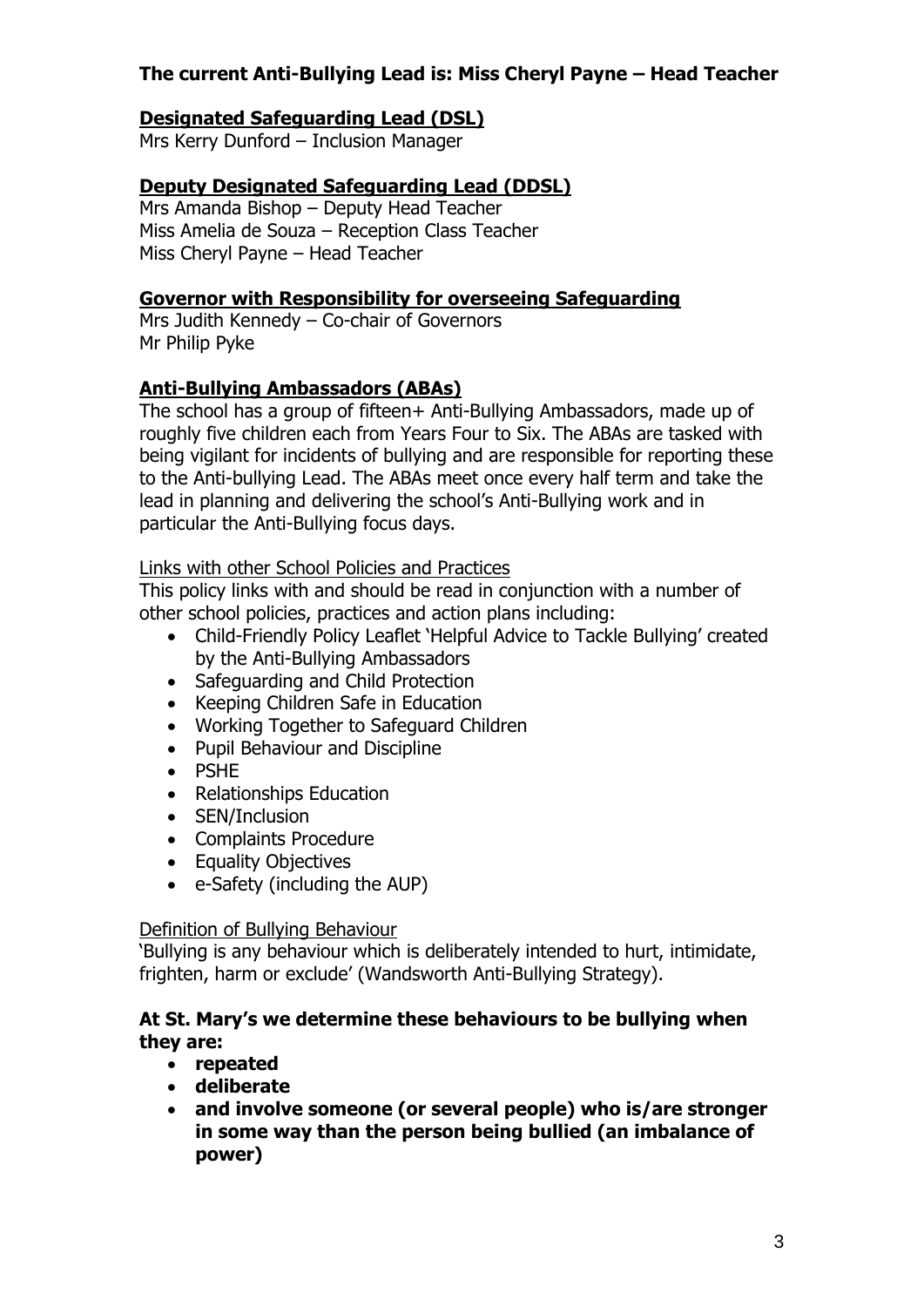# **The current Anti-Bullying Lead is: Miss Cheryl Payne – Head Teacher**

## **Designated Safeguarding Lead (DSL)**

Mrs Kerry Dunford – Inclusion Manager

# **Deputy Designated Safeguarding Lead (DDSL)**

Mrs Amanda Bishop – Deputy Head Teacher Miss Amelia de Souza – Reception Class Teacher Miss Cheryl Payne – Head Teacher

#### **Governor with Responsibility for overseeing Safeguarding**

Mrs Judith Kennedy – Co-chair of Governors Mr Philip Pyke

# **Anti-Bullying Ambassadors (ABAs)**

The school has a group of fifteen+ Anti-Bullying Ambassadors, made up of roughly five children each from Years Four to Six. The ABAs are tasked with being vigilant for incidents of bullying and are responsible for reporting these to the Anti-bullying Lead. The ABAs meet once every half term and take the lead in planning and delivering the school's Anti-Bullying work and in particular the Anti-Bullying focus days.

#### Links with other School Policies and Practices

This policy links with and should be read in conjunction with a number of other school policies, practices and action plans including:

- Child-Friendly Policy Leaflet 'Helpful Advice to Tackle Bullying' created by the Anti-Bullying Ambassadors
- Safeguarding and Child Protection
- Keeping Children Safe in Education
- Working Together to Safeguard Children
- Pupil Behaviour and Discipline
- PSHE
- Relationships Education
- SEN/Inclusion
- Complaints Procedure
- Equality Objectives
- e-Safety (including the AUP)

#### Definition of Bullying Behaviour

'Bullying is any behaviour which is deliberately intended to hurt, intimidate, frighten, harm or exclude' (Wandsworth Anti-Bullying Strategy).

#### **At St. Mary's we determine these behaviours to be bullying when they are:**

- **repeated**
- **deliberate**
- **and involve someone (or several people) who is/are stronger in some way than the person being bullied (an imbalance of power)**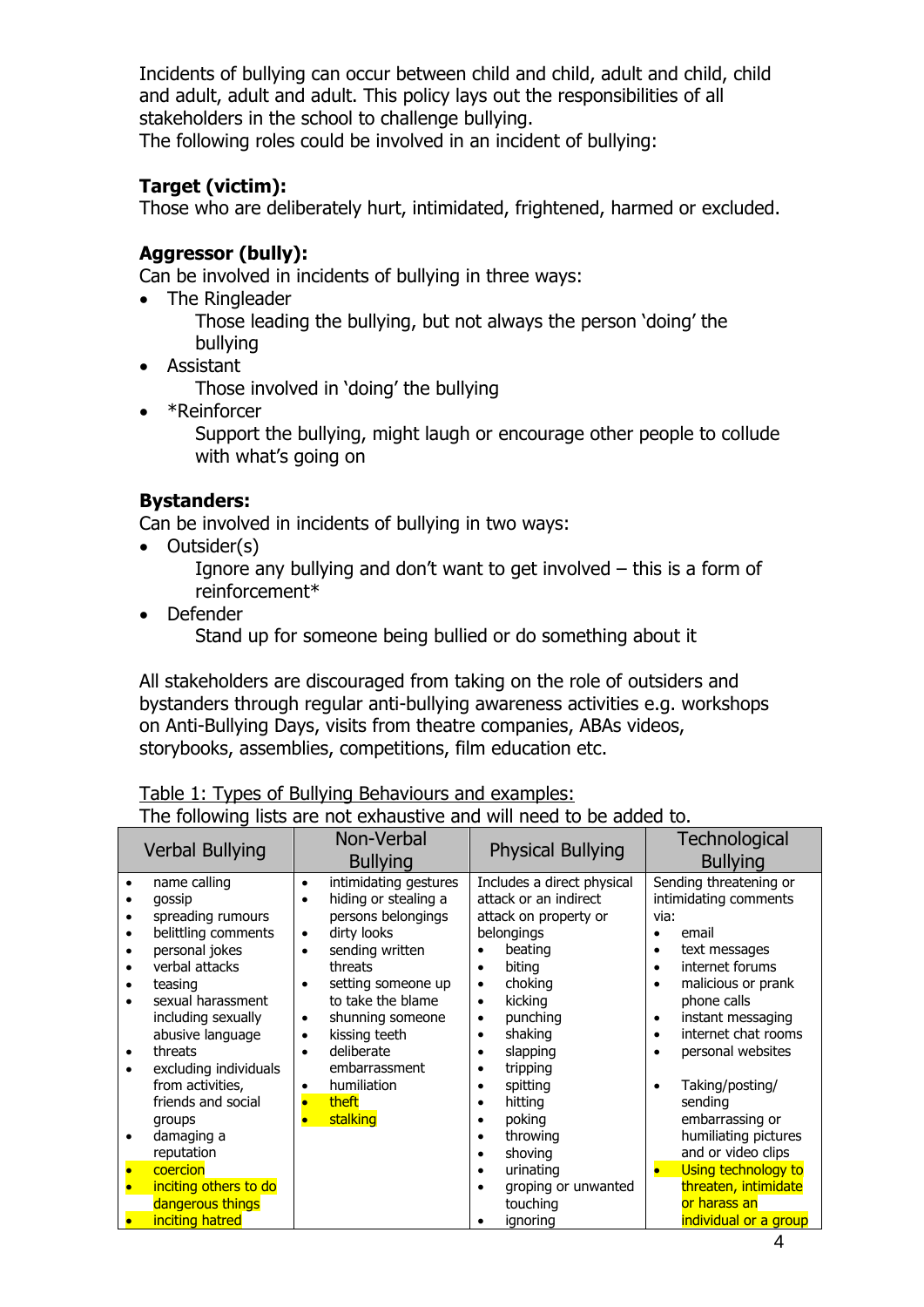Incidents of bullying can occur between child and child, adult and child, child and adult, adult and adult. This policy lays out the responsibilities of all stakeholders in the school to challenge bullying.

The following roles could be involved in an incident of bullying:

# **Target (victim):**

Those who are deliberately hurt, intimidated, frightened, harmed or excluded.

# **Aggressor (bully):**

Can be involved in incidents of bullying in three ways:

- The Ringleader Those leading the bullying, but not always the person 'doing' the
- bullying
- Assistant

Those involved in 'doing' the bullying

• \*Reinforcer

Support the bullying, might laugh or encourage other people to collude with what's going on

# **Bystanders:**

Can be involved in incidents of bullying in two ways:

• Outsider(s)

Ignore any bullying and don't want to get involved – this is a form of reinforcement\*

• Defender

Stand up for someone being bullied or do something about it

All stakeholders are discouraged from taking on the role of outsiders and bystanders through regular anti-bullying awareness activities e.g. workshops on Anti-Bullying Days, visits from theatre companies, ABAs videos, storybooks, assemblies, competitions, film education etc.

# Table 1: Types of Bullying Behaviours and examples:

| The following lists are not exhaustive and will need to be added to. |  |  |  |  |
|----------------------------------------------------------------------|--|--|--|--|
|----------------------------------------------------------------------|--|--|--|--|

|           | <b>Verbal Bullying</b>                    |                        | Non-Verbal<br><b>Bullying</b>                 |                        | <b>Physical Bullying</b>                            |                | Technological<br><b>Bullying</b>                |
|-----------|-------------------------------------------|------------------------|-----------------------------------------------|------------------------|-----------------------------------------------------|----------------|-------------------------------------------------|
|           | name calling<br>qossip                    | $\bullet$              | intimidating gestures<br>hiding or stealing a |                        | Includes a direct physical<br>attack or an indirect |                | Sending threatening or<br>intimidating comments |
|           | spreading rumours                         |                        | persons belongings                            |                        | attack on property or                               | via:           |                                                 |
|           | belittling comments<br>personal jokes     | $\bullet$<br>$\bullet$ | dirty looks<br>sending written                |                        | belongings<br>beating                               | ٠<br>$\bullet$ | email<br>text messages                          |
|           | verbal attacks                            |                        | threats                                       | $\bullet$              | biting                                              | $\bullet$      | internet forums                                 |
|           | teasing<br>sexual harassment              | $\bullet$              | setting someone up<br>to take the blame       | $\bullet$<br>$\bullet$ | choking<br>kicking                                  |                | malicious or prank<br>phone calls               |
|           | including sexually<br>abusive language    | $\bullet$<br>$\bullet$ | shunning someone<br>kissing teeth             | $\bullet$<br>$\bullet$ | punching<br>shaking                                 | ٠<br>$\bullet$ | instant messaging<br>internet chat rooms        |
| $\bullet$ | threats                                   | $\bullet$              | deliberate                                    |                        | slapping                                            |                | personal websites                               |
|           | excluding individuals<br>from activities, |                        | embarrassment<br>humiliation                  | $\bullet$              | tripping<br>spitting                                |                | Taking/posting/                                 |
|           | friends and social                        |                        | theft                                         |                        | hitting                                             |                | sending                                         |
|           | groups<br>damaging a                      |                        | stalking                                      |                        | poking<br>throwing                                  |                | embarrassing or<br>humiliating pictures         |
|           | reputation                                |                        |                                               |                        | shoving                                             |                | and or video clips                              |
|           | coercion<br>inciting others to do         |                        |                                               |                        | urinating<br>groping or unwanted                    | $\bullet$      | Using technology to<br>threaten, intimidate     |
|           | dangerous things                          |                        |                                               |                        | touching                                            |                | or harass an                                    |
|           | inciting hatred                           |                        |                                               |                        | ignoring                                            |                | individual or a group                           |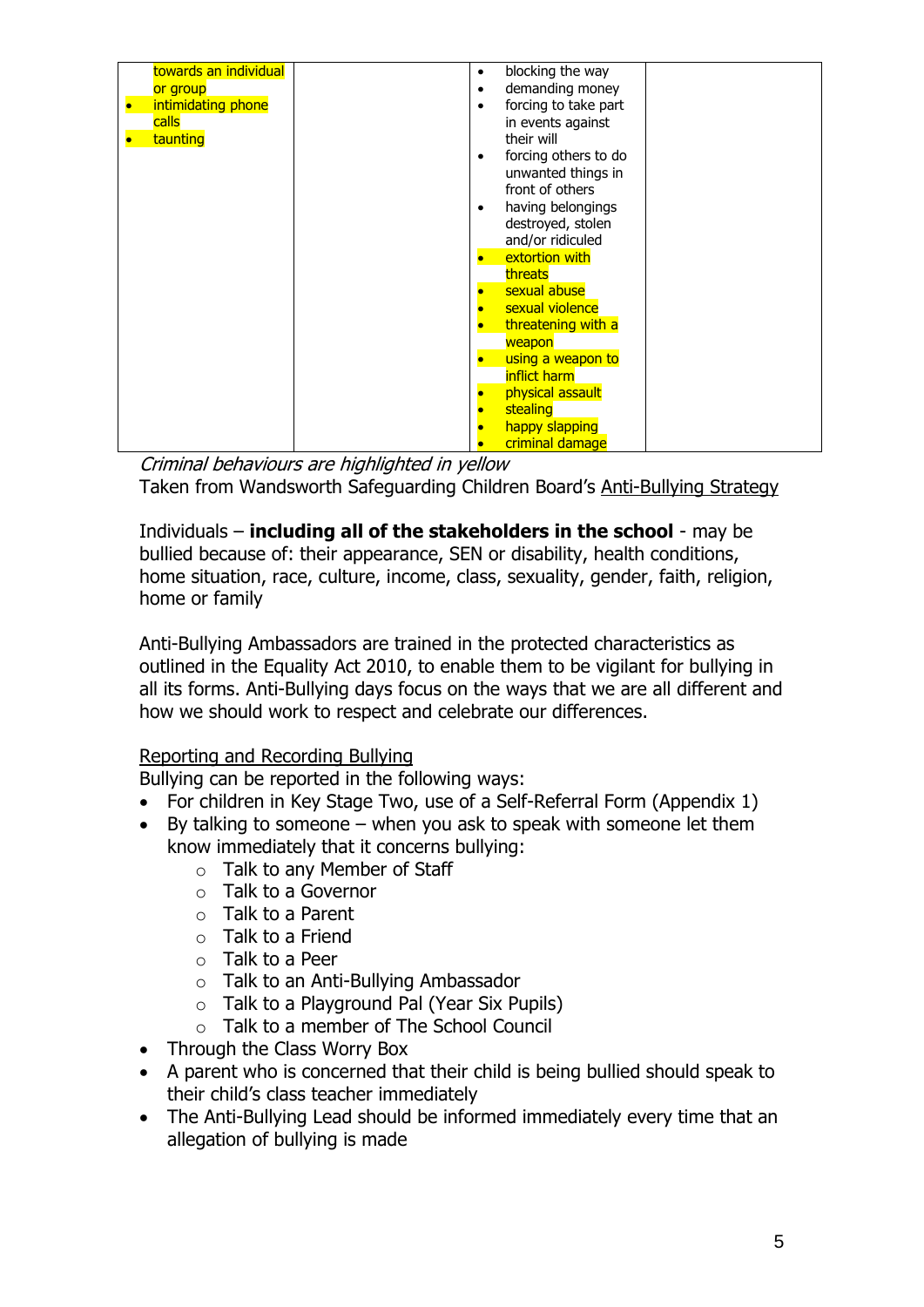| towards an individual | blocking the way<br>$\bullet$     |
|-----------------------|-----------------------------------|
| or group              | demanding money<br>$\bullet$      |
| intimidating phone    | forcing to take part<br>$\bullet$ |
|                       |                                   |
| calls                 | in events against                 |
| taunting              | their will                        |
|                       | forcing others to do<br>٠         |
|                       | unwanted things in                |
|                       | front of others                   |
|                       |                                   |
|                       | having belongings<br>٠            |
|                       | destroyed, stolen                 |
|                       | and/or ridiculed                  |
|                       | extortion with                    |
|                       |                                   |
|                       | threats                           |
|                       | sexual abuse                      |
|                       | sexual violence                   |
|                       | threatening with a                |
|                       | weapon                            |
|                       |                                   |
|                       | using a weapon to                 |
|                       | inflict harm                      |
|                       | physical assault                  |
|                       | stealing                          |
|                       |                                   |
|                       | happy slapping                    |
|                       | criminal damage                   |

Criminal behaviours are highlighted in yellow Taken from Wandsworth Safeguarding Children Board's Anti-Bullying Strategy

Individuals – **including all of the stakeholders in the school** - may be bullied because of: their appearance, SEN or disability, health conditions, home situation, race, culture, income, class, sexuality, gender, faith, religion, home or family

Anti-Bullying Ambassadors are trained in the protected characteristics as outlined in the Equality Act 2010, to enable them to be vigilant for bullying in all its forms. Anti-Bullying days focus on the ways that we are all different and how we should work to respect and celebrate our differences.

# Reporting and Recording Bullying

Bullying can be reported in the following ways:

- For children in Key Stage Two, use of a Self-Referral Form (Appendix 1)
- $\bullet$  By talking to someone when you ask to speak with someone let them know immediately that it concerns bullying:
	- o Talk to any Member of Staff
	- o Talk to a Governor
	- o Talk to a Parent
	- $\circ$  Talk to a Friend
	- o Talk to a Peer
	- o Talk to an Anti-Bullying Ambassador
	- o Talk to a Playground Pal (Year Six Pupils)
	- o Talk to a member of The School Council
- Through the Class Worry Box
- A parent who is concerned that their child is being bullied should speak to their child's class teacher immediately
- The Anti-Bullying Lead should be informed immediately every time that an allegation of bullying is made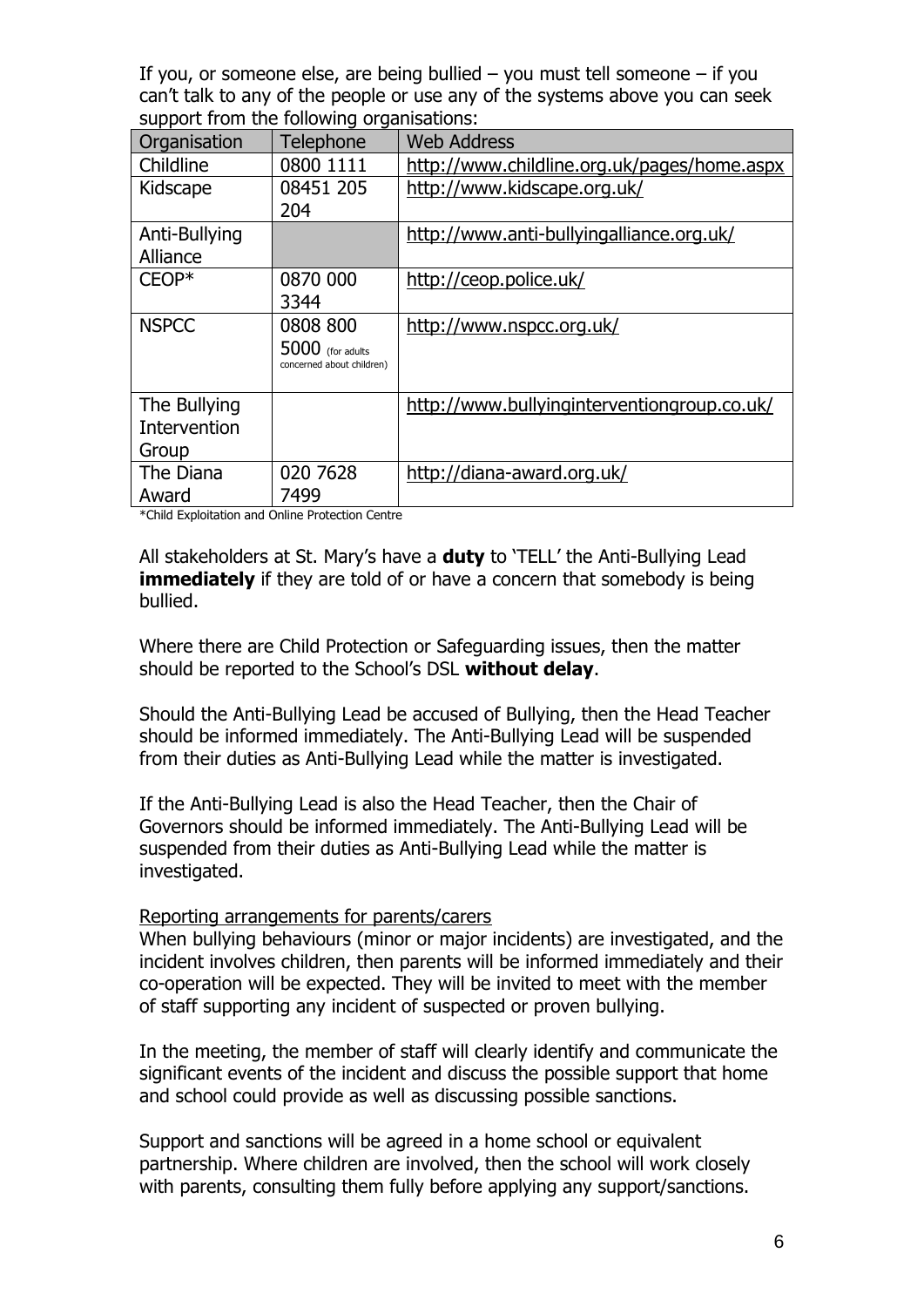If you, or someone else, are being bullied  $-$  you must tell someone  $-$  if you can't talk to any of the people or use any of the systems above you can seek support from the following organisations:

| Organisation  | Telephone                                     | <b>Web Address</b>                          |
|---------------|-----------------------------------------------|---------------------------------------------|
| Childline     | 0800 1111                                     | http://www.childline.org.uk/pages/home.aspx |
| Kidscape      | 08451 205                                     | http://www.kidscape.org.uk/                 |
|               | 204                                           |                                             |
| Anti-Bullying |                                               | http://www.anti-bullyingalliance.org.uk/    |
| Alliance      |                                               |                                             |
| $CEOP*$       | 0870 000                                      | http://ceop.police.uk/                      |
|               | 3344                                          |                                             |
| <b>NSPCC</b>  | 0808 800                                      | http://www.nspcc.org.uk/                    |
|               | 5000 (for adults<br>concerned about children) |                                             |
|               |                                               |                                             |
| The Bullying  |                                               | http://www.bullyinginterventiongroup.co.uk/ |
| Intervention  |                                               |                                             |
| Group         |                                               |                                             |
| The Diana     | 020 7628                                      | http://diana-award.org.uk/                  |
| Award         | 7499                                          |                                             |

\*Child Exploitation and Online Protection Centre

All stakeholders at St. Mary's have a **duty** to 'TELL' the Anti-Bullying Lead **immediately** if they are told of or have a concern that somebody is being bullied.

Where there are Child Protection or Safeguarding issues, then the matter should be reported to the School's DSL **without delay**.

Should the Anti-Bullying Lead be accused of Bullying, then the Head Teacher should be informed immediately. The Anti-Bullying Lead will be suspended from their duties as Anti-Bullying Lead while the matter is investigated.

If the Anti-Bullying Lead is also the Head Teacher, then the Chair of Governors should be informed immediately. The Anti-Bullying Lead will be suspended from their duties as Anti-Bullying Lead while the matter is investigated.

#### Reporting arrangements for parents/carers

When bullying behaviours (minor or major incidents) are investigated, and the incident involves children, then parents will be informed immediately and their co-operation will be expected. They will be invited to meet with the member of staff supporting any incident of suspected or proven bullying.

In the meeting, the member of staff will clearly identify and communicate the significant events of the incident and discuss the possible support that home and school could provide as well as discussing possible sanctions.

Support and sanctions will be agreed in a home school or equivalent partnership. Where children are involved, then the school will work closely with parents, consulting them fully before applying any support/sanctions.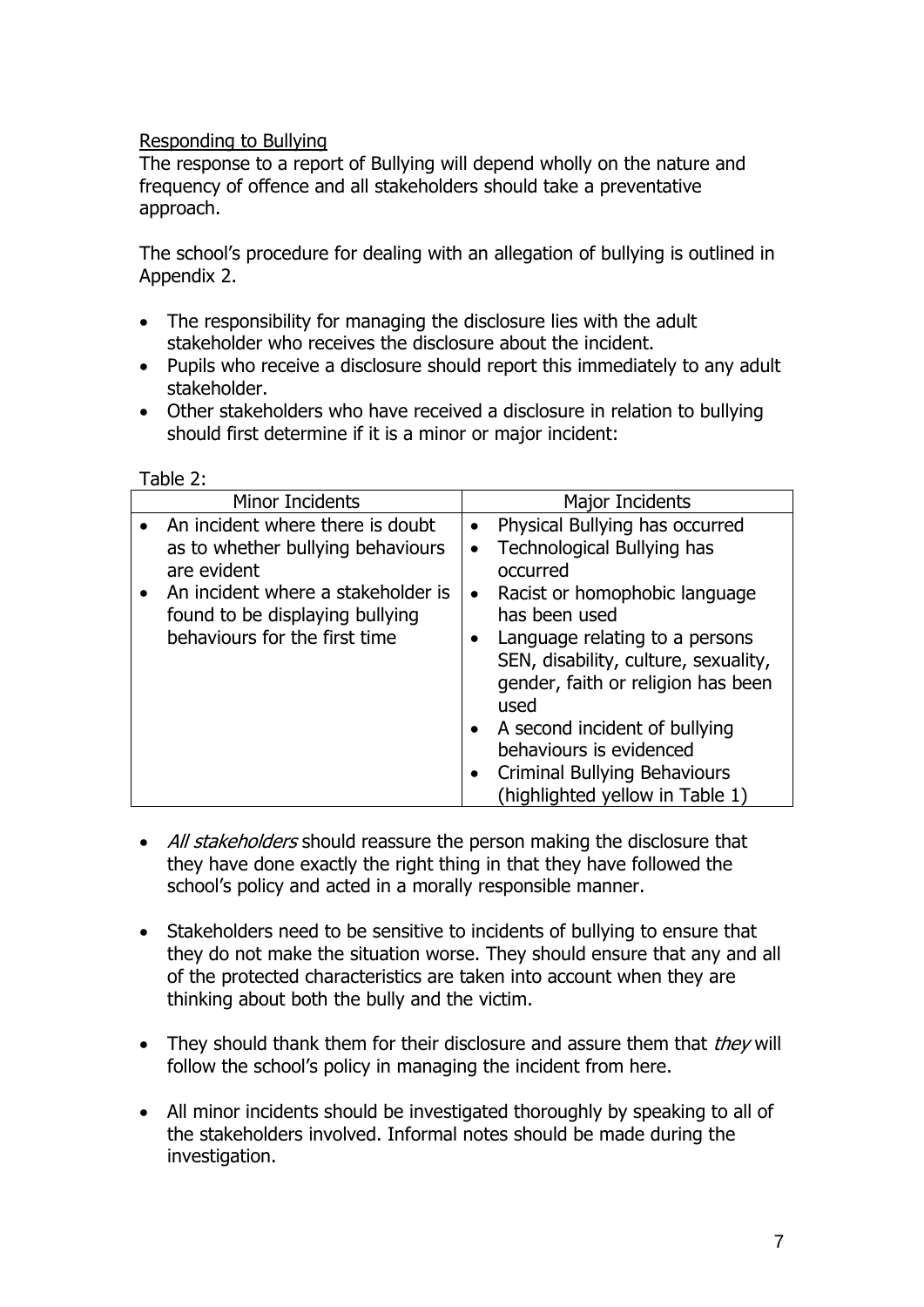# Responding to Bullying

 $T<sub>ab</sub>$  $\sim$  2:

The response to a report of Bullying will depend wholly on the nature and frequency of offence and all stakeholders should take a preventative approach.

The school's procedure for dealing with an allegation of bullying is outlined in Appendix 2.

- The responsibility for managing the disclosure lies with the adult stakeholder who receives the disclosure about the incident.
- Pupils who receive a disclosure should report this immediately to any adult stakeholder.
- Other stakeholders who have received a disclosure in relation to bullying should first determine if it is a minor or major incident:

| Table 2.                                                                                                                                                                                                      |                                                                                                                                                                                                                                                                                                                                                                                                                |
|---------------------------------------------------------------------------------------------------------------------------------------------------------------------------------------------------------------|----------------------------------------------------------------------------------------------------------------------------------------------------------------------------------------------------------------------------------------------------------------------------------------------------------------------------------------------------------------------------------------------------------------|
| Minor Incidents                                                                                                                                                                                               | Major Incidents                                                                                                                                                                                                                                                                                                                                                                                                |
| • An incident where there is doubt<br>as to whether bullying behaviours<br>are evident<br>An incident where a stakeholder is<br>$\bullet$<br>found to be displaying bullying<br>behaviours for the first time | Physical Bullying has occurred<br><b>Technological Bullying has</b><br>occurred<br>Racist or homophobic language<br>$\bullet$<br>has been used<br>Language relating to a persons<br>SEN, disability, culture, sexuality,<br>gender, faith or religion has been<br>used<br>• A second incident of bullying<br>behaviours is evidenced<br><b>Criminal Bullying Behaviours</b><br>(highlighted yellow in Table 1) |

- All stakeholders should reassure the person making the disclosure that they have done exactly the right thing in that they have followed the school's policy and acted in a morally responsible manner.
- Stakeholders need to be sensitive to incidents of bullying to ensure that they do not make the situation worse. They should ensure that any and all of the protected characteristics are taken into account when they are thinking about both the bully and the victim.
- They should thank them for their disclosure and assure them that  $they$  will follow the school's policy in managing the incident from here.
- All minor incidents should be investigated thoroughly by speaking to all of the stakeholders involved. Informal notes should be made during the investigation.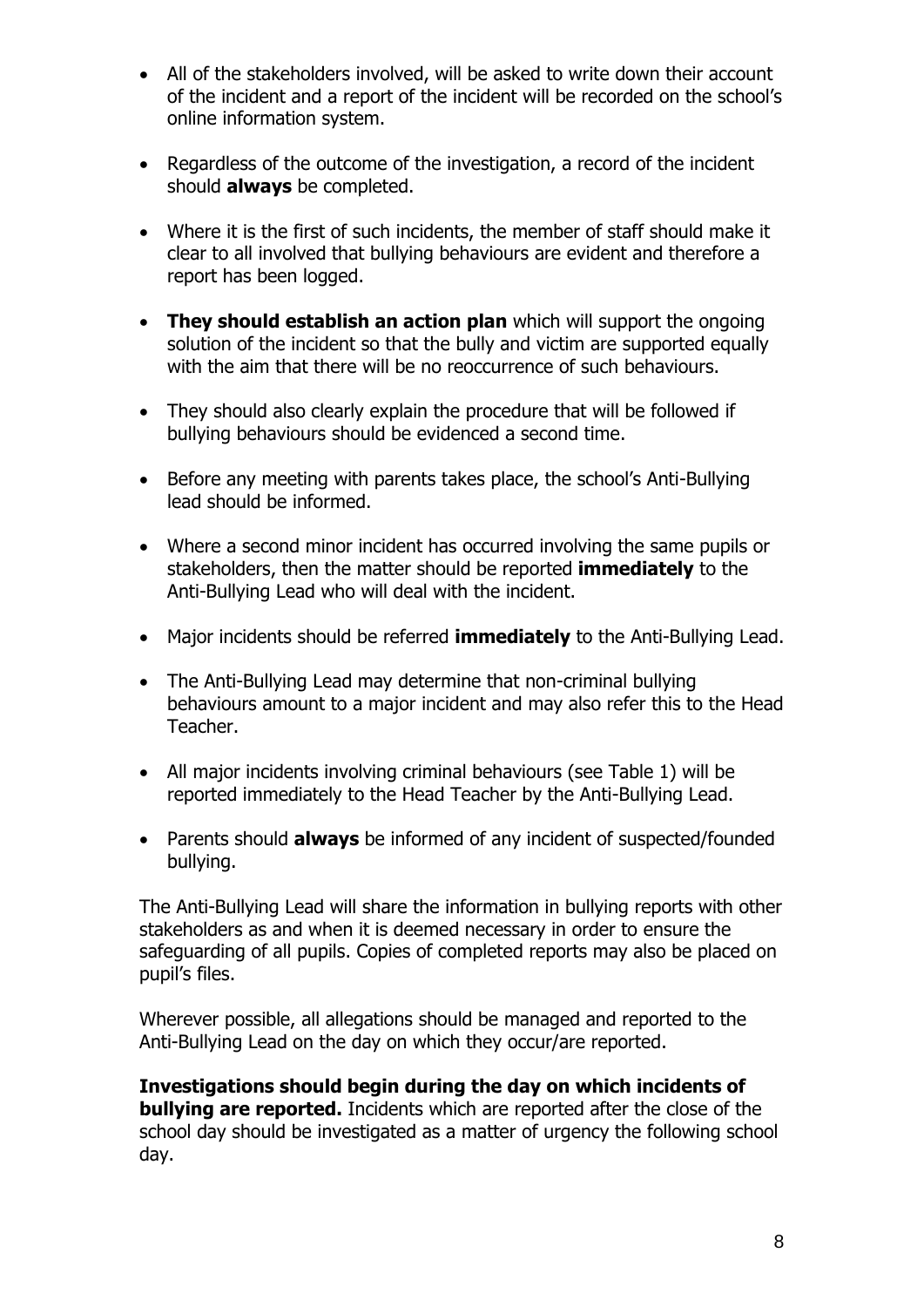- All of the stakeholders involved, will be asked to write down their account of the incident and a report of the incident will be recorded on the school's online information system.
- Regardless of the outcome of the investigation, a record of the incident should **always** be completed.
- Where it is the first of such incidents, the member of staff should make it clear to all involved that bullying behaviours are evident and therefore a report has been logged.
- **They should establish an action plan** which will support the ongoing solution of the incident so that the bully and victim are supported equally with the aim that there will be no reoccurrence of such behaviours.
- They should also clearly explain the procedure that will be followed if bullying behaviours should be evidenced a second time.
- Before any meeting with parents takes place, the school's Anti-Bullying lead should be informed.
- Where a second minor incident has occurred involving the same pupils or stakeholders, then the matter should be reported **immediately** to the Anti-Bullying Lead who will deal with the incident.
- Major incidents should be referred **immediately** to the Anti-Bullying Lead.
- The Anti-Bullying Lead may determine that non-criminal bullying behaviours amount to a major incident and may also refer this to the Head Teacher.
- All major incidents involving criminal behaviours (see Table 1) will be reported immediately to the Head Teacher by the Anti-Bullying Lead.
- Parents should **always** be informed of any incident of suspected/founded bullying.

The Anti-Bullying Lead will share the information in bullying reports with other stakeholders as and when it is deemed necessary in order to ensure the safeguarding of all pupils. Copies of completed reports may also be placed on pupil's files.

Wherever possible, all allegations should be managed and reported to the Anti-Bullying Lead on the day on which they occur/are reported.

**Investigations should begin during the day on which incidents of bullying are reported.** Incidents which are reported after the close of the school day should be investigated as a matter of urgency the following school day.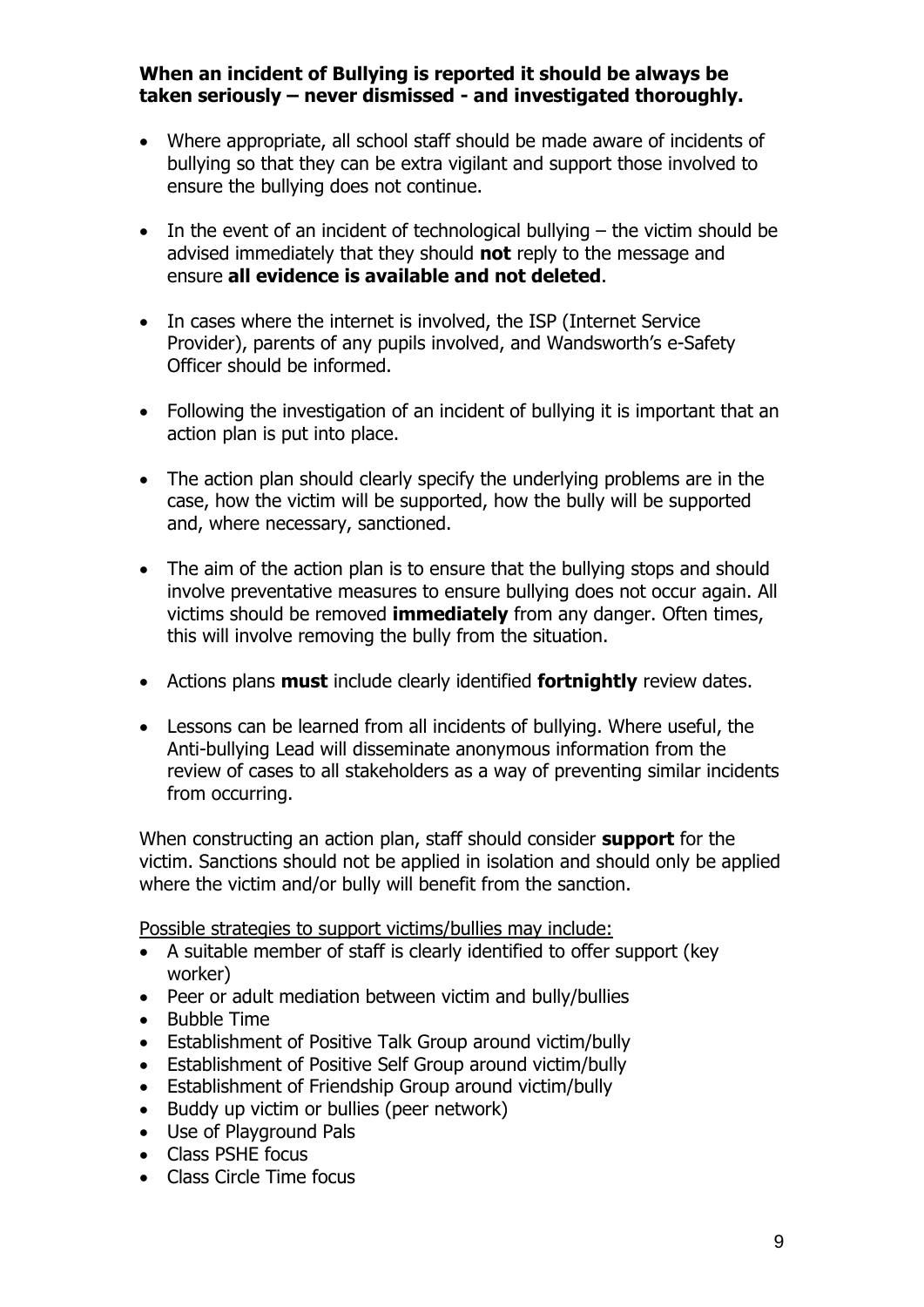# **When an incident of Bullying is reported it should be always be taken seriously – never dismissed - and investigated thoroughly.**

- Where appropriate, all school staff should be made aware of incidents of bullying so that they can be extra vigilant and support those involved to ensure the bullying does not continue.
- $\bullet$  In the event of an incident of technological bullying  $-$  the victim should be advised immediately that they should **not** reply to the message and ensure **all evidence is available and not deleted**.
- In cases where the internet is involved, the ISP (Internet Service Provider), parents of any pupils involved, and Wandsworth's e-Safety Officer should be informed.
- Following the investigation of an incident of bullying it is important that an action plan is put into place.
- The action plan should clearly specify the underlying problems are in the case, how the victim will be supported, how the bully will be supported and, where necessary, sanctioned.
- The aim of the action plan is to ensure that the bullying stops and should involve preventative measures to ensure bullying does not occur again. All victims should be removed **immediately** from any danger. Often times, this will involve removing the bully from the situation.
- Actions plans **must** include clearly identified **fortnightly** review dates.
- Lessons can be learned from all incidents of bullying. Where useful, the Anti-bullying Lead will disseminate anonymous information from the review of cases to all stakeholders as a way of preventing similar incidents from occurring.

When constructing an action plan, staff should consider **support** for the victim. Sanctions should not be applied in isolation and should only be applied where the victim and/or bully will benefit from the sanction.

Possible strategies to support victims/bullies may include:

- A suitable member of staff is clearly identified to offer support (key worker)
- Peer or adult mediation between victim and bully/bullies
- Bubble Time
- Establishment of Positive Talk Group around victim/bully
- Establishment of Positive Self Group around victim/bully
- Establishment of Friendship Group around victim/bully
- Buddy up victim or bullies (peer network)
- Use of Playground Pals
- Class PSHE focus
- Class Circle Time focus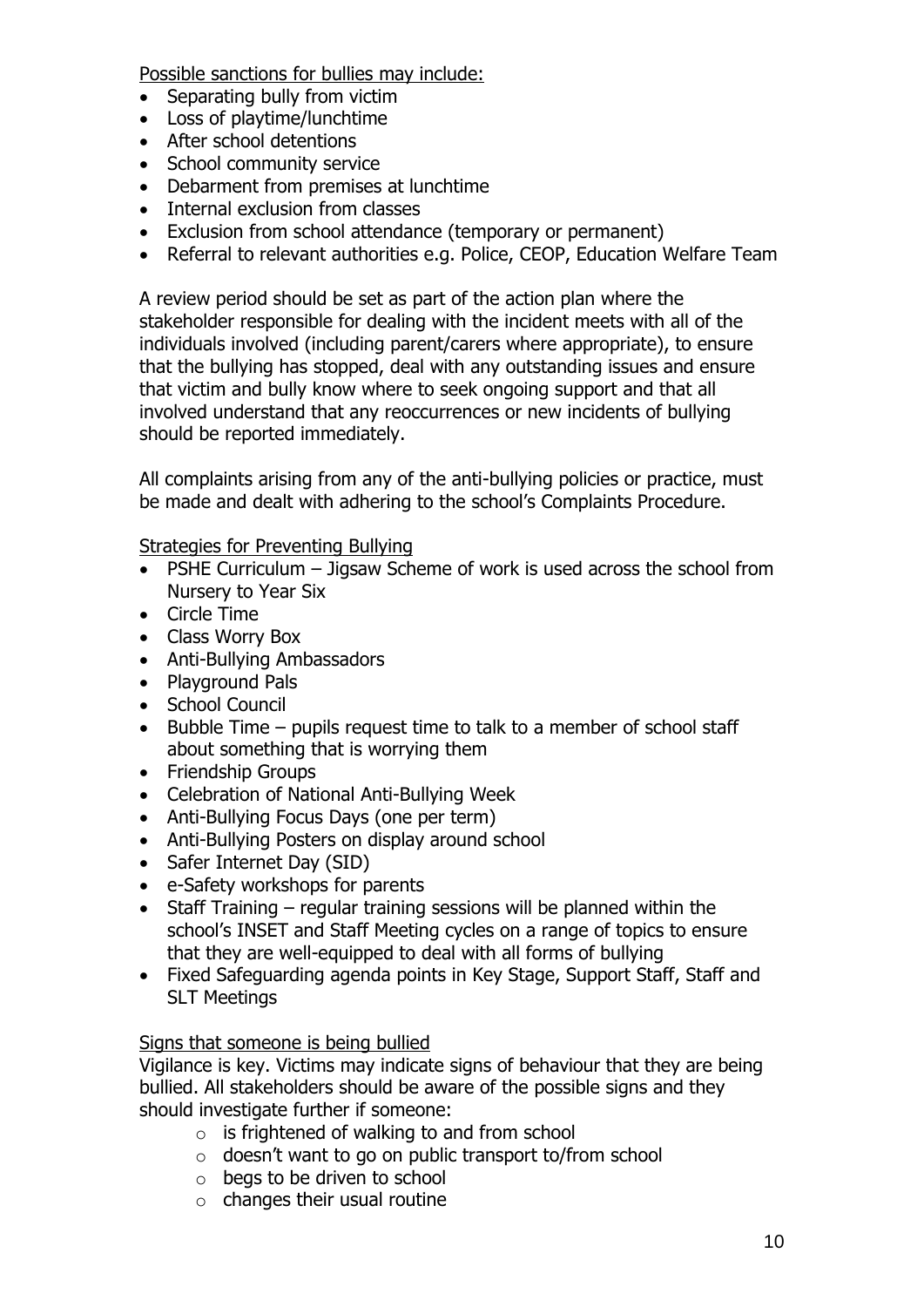Possible sanctions for bullies may include:

- Separating bully from victim
- Loss of playtime/lunchtime
- After school detentions
- School community service
- Debarment from premises at lunchtime
- Internal exclusion from classes
- Exclusion from school attendance (temporary or permanent)
- Referral to relevant authorities e.g. Police, CEOP, Education Welfare Team

A review period should be set as part of the action plan where the stakeholder responsible for dealing with the incident meets with all of the individuals involved (including parent/carers where appropriate), to ensure that the bullying has stopped, deal with any outstanding issues and ensure that victim and bully know where to seek ongoing support and that all involved understand that any reoccurrences or new incidents of bullying should be reported immediately.

All complaints arising from any of the anti-bullying policies or practice, must be made and dealt with adhering to the school's Complaints Procedure.

Strategies for Preventing Bullying

- PSHE Curriculum Jigsaw Scheme of work is used across the school from Nursery to Year Six
- Circle Time
- Class Worry Box
- Anti-Bullying Ambassadors
- Playground Pals
- School Council
- Bubble Time pupils request time to talk to a member of school staff about something that is worrying them
- Friendship Groups
- Celebration of National Anti-Bullying Week
- Anti-Bullying Focus Days (one per term)
- Anti-Bullying Posters on display around school
- Safer Internet Day (SID)
- e-Safety workshops for parents
- Staff Training regular training sessions will be planned within the school's INSET and Staff Meeting cycles on a range of topics to ensure that they are well-equipped to deal with all forms of bullying
- Fixed Safeguarding agenda points in Key Stage, Support Staff, Staff and SLT Meetings

# Signs that someone is being bullied

Vigilance is key. Victims may indicate signs of behaviour that they are being bullied. All stakeholders should be aware of the possible signs and they should investigate further if someone:

- $\circ$  is frightened of walking to and from school
- o doesn't want to go on public transport to/from school
- o begs to be driven to school
- $\circ$  changes their usual routine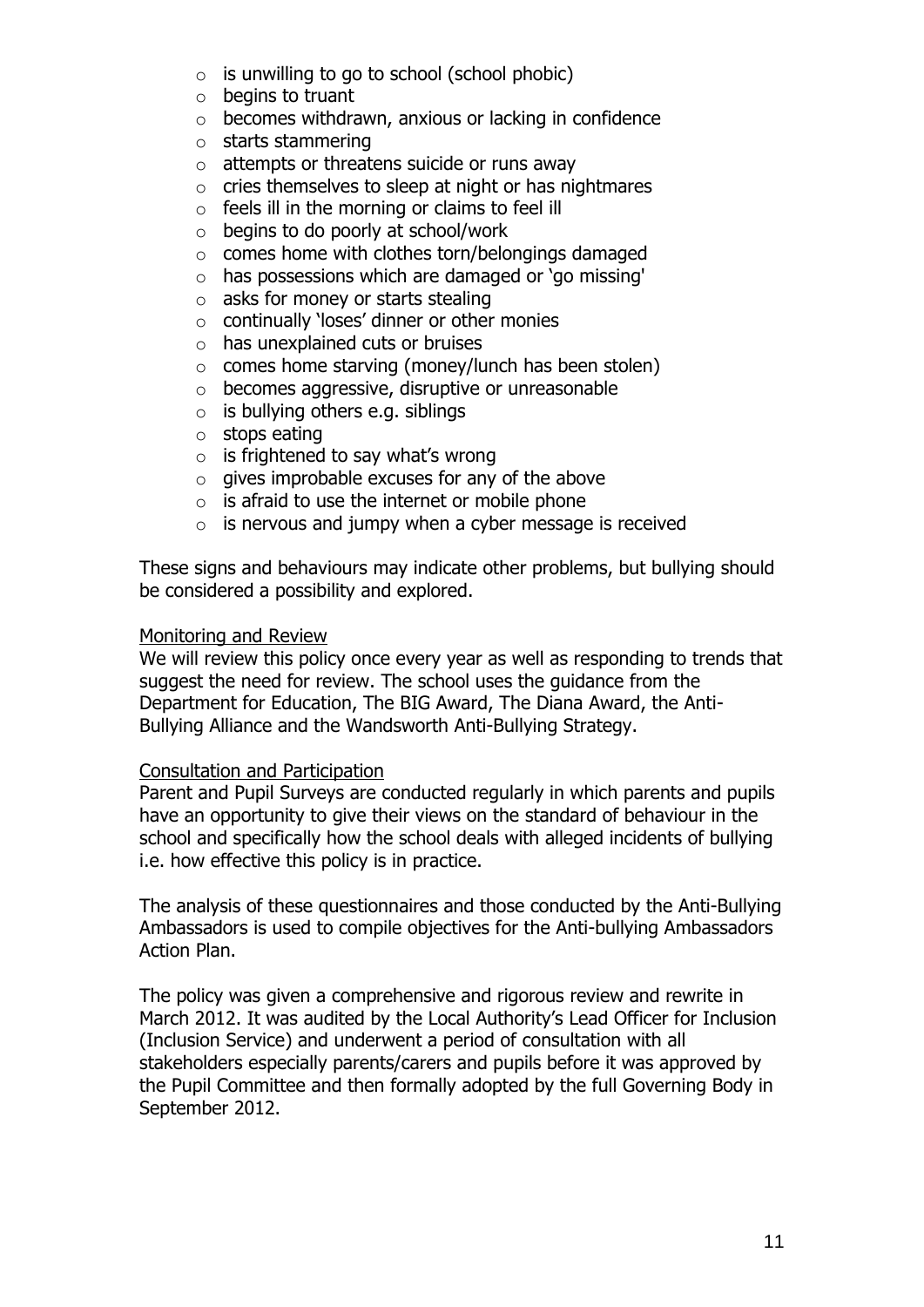- $\circ$  is unwilling to go to school (school phobic)
- $\circ$  begins to truant
- o becomes withdrawn, anxious or lacking in confidence
- o starts stammering
- $\circ$  attempts or threatens suicide or runs away
- o cries themselves to sleep at night or has nightmares
- $\circ$  feels ill in the morning or claims to feel ill
- $\circ$  begins to do poorly at school/work
- $\circ$  comes home with clothes torn/belongings damaged
- o has possessions which are damaged or 'go missing'
- $\circ$  asks for money or starts stealing
- o continually 'loses' dinner or other monies
- o has unexplained cuts or bruises
- $\circ$  comes home starving (money/lunch has been stolen)
- o becomes aggressive, disruptive or unreasonable
- $\circ$  is bullying others e.g. siblings
- o stops eating
- $\circ$  is frightened to say what's wrong
- $\circ$  gives improbable excuses for any of the above
- $\circ$  is afraid to use the internet or mobile phone
- $\circ$  is nervous and jumpy when a cyber message is received

These signs and behaviours may indicate other problems, but bullying should be considered a possibility and explored.

#### Monitoring and Review

We will review this policy once every year as well as responding to trends that suggest the need for review. The school uses the guidance from the Department for Education, The BIG Award, The Diana Award, the Anti-Bullying Alliance and the Wandsworth Anti-Bullying Strategy.

#### Consultation and Participation

Parent and Pupil Surveys are conducted regularly in which parents and pupils have an opportunity to give their views on the standard of behaviour in the school and specifically how the school deals with alleged incidents of bullying i.e. how effective this policy is in practice.

The analysis of these questionnaires and those conducted by the Anti-Bullying Ambassadors is used to compile objectives for the Anti-bullying Ambassadors Action Plan.

The policy was given a comprehensive and rigorous review and rewrite in March 2012. It was audited by the Local Authority's Lead Officer for Inclusion (Inclusion Service) and underwent a period of consultation with all stakeholders especially parents/carers and pupils before it was approved by the Pupil Committee and then formally adopted by the full Governing Body in September 2012.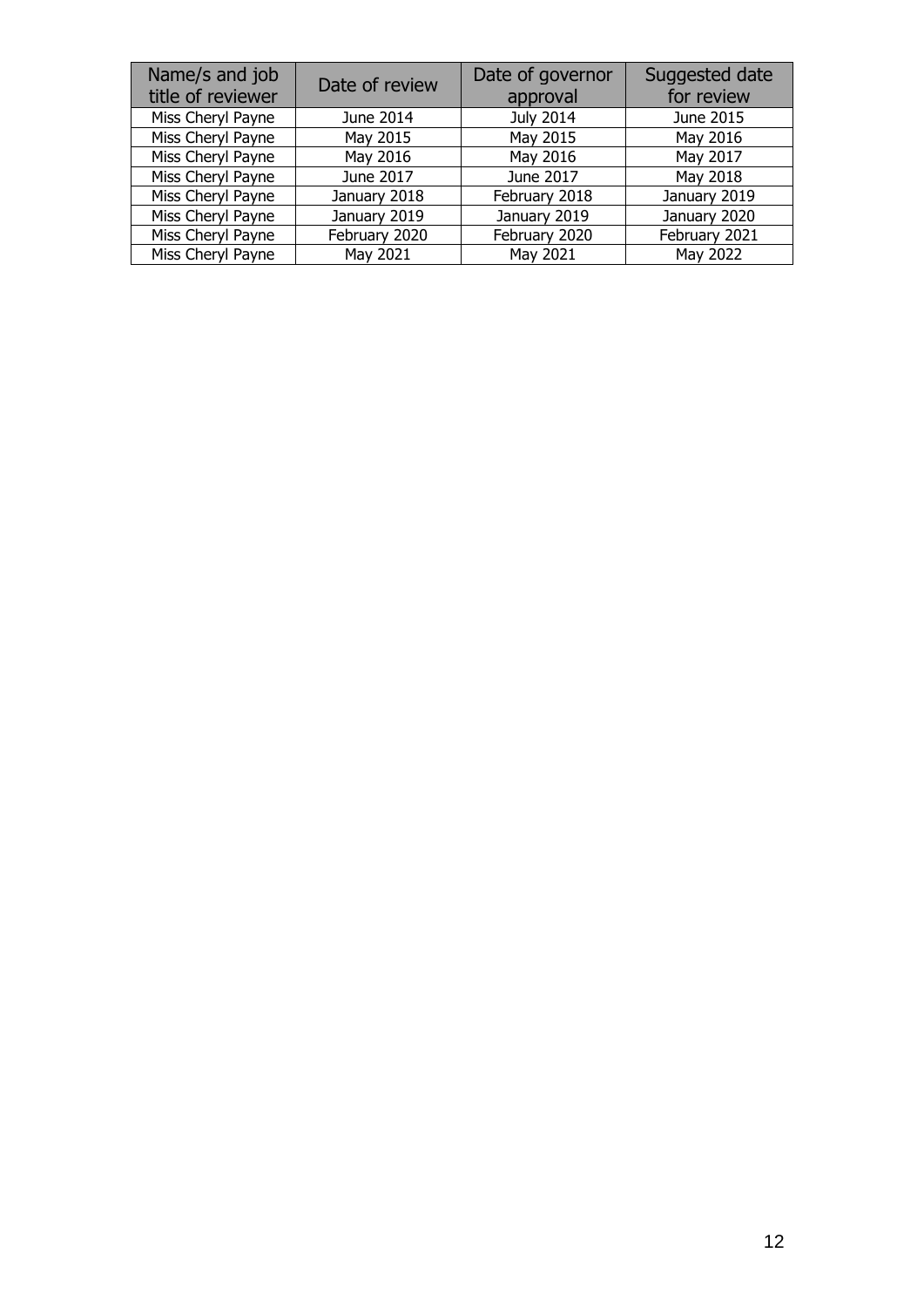| Name/s and job<br>title of reviewer | Date of review | Date of governor<br>approval | Suggested date<br>for review |
|-------------------------------------|----------------|------------------------------|------------------------------|
| Miss Cheryl Payne                   | June 2014      | <b>July 2014</b>             | June 2015                    |
| Miss Cheryl Payne                   | May 2015       | May 2015                     | May 2016                     |
| Miss Cheryl Payne                   | May 2016       | May 2016                     | May 2017                     |
| Miss Cheryl Payne                   | June 2017      | June 2017                    | May 2018                     |
| Miss Cheryl Payne                   | January 2018   | February 2018                | January 2019                 |
| Miss Cheryl Payne                   | January 2019   | January 2019                 | January 2020                 |
| Miss Cheryl Payne                   | February 2020  | February 2020                | February 2021                |
| Miss Cheryl Payne                   | May 2021       | May 2021                     | May 2022                     |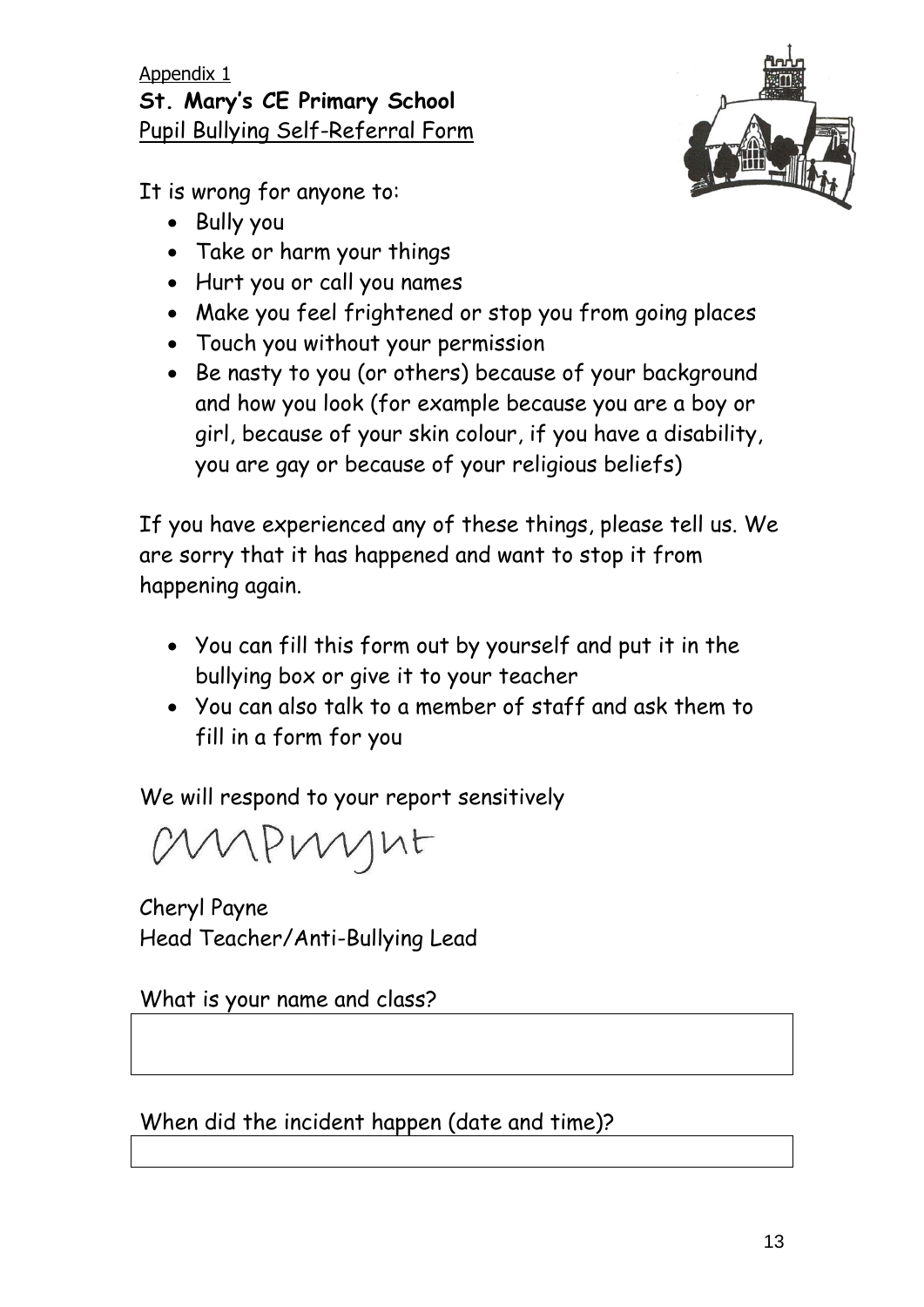It is wrong for anyone to:

- Bully you
- Take or harm your things
- Hurt you or call you names
- Make you feel frightened or stop you from going places
- Touch you without your permission
- Be nasty to you (or others) because of your background and how you look (for example because you are a boy or girl, because of your skin colour, if you have a disability, you are gay or because of your religious beliefs)

If you have experienced any of these things, please tell us. We are sorry that it has happened and want to stop it from happening again.

- You can fill this form out by yourself and put it in the bullying box or give it to your teacher
- You can also talk to a member of staff and ask them to fill in a form for you

We will respond to your report sensitively

MAPMYNE

Cheryl Payne Head Teacher/Anti-Bullying Lead

What is your name and class?

When did the incident happen (date and time)?

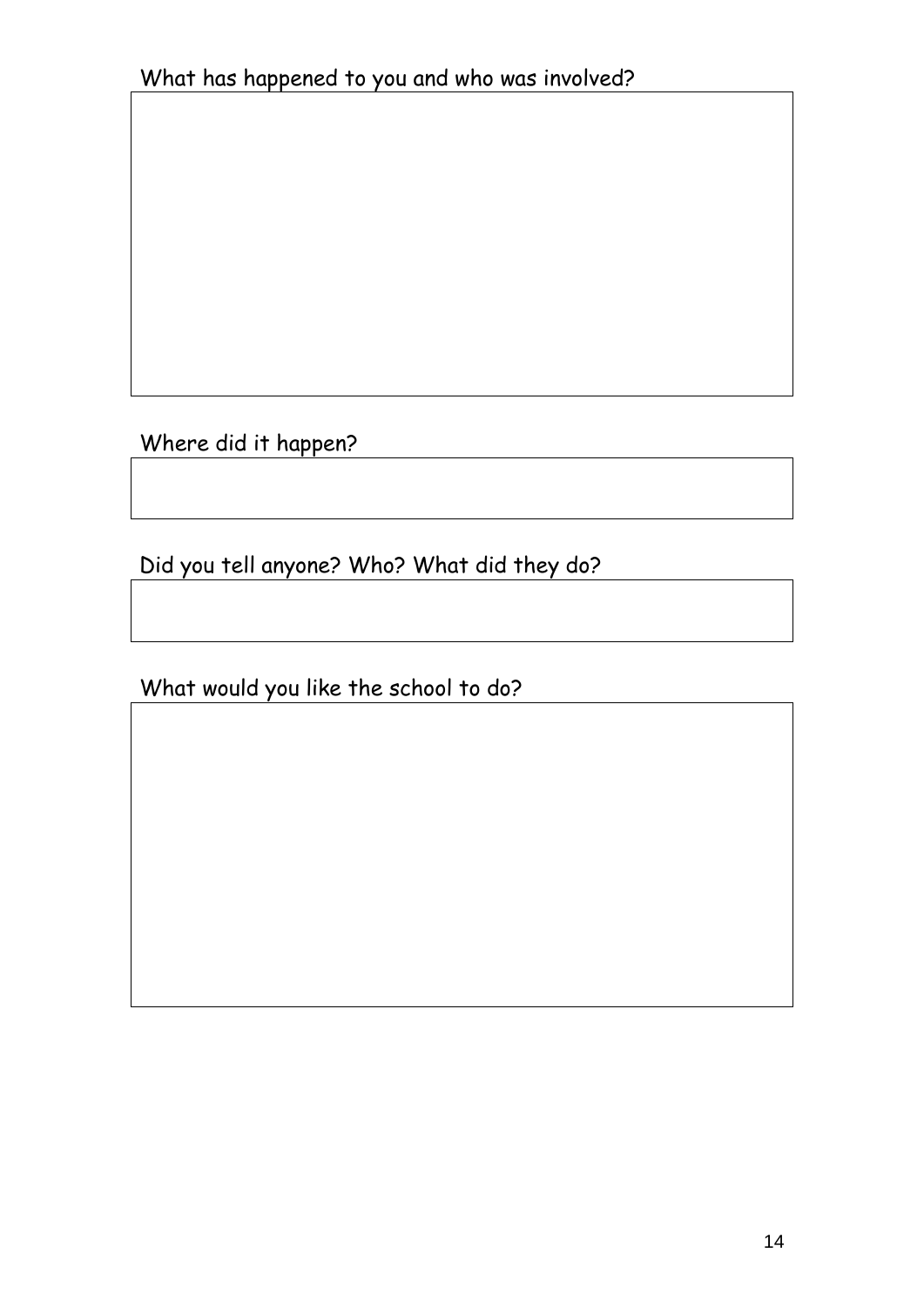Where did it happen?

Did you tell anyone? Who? What did they do?

What would you like the school to do?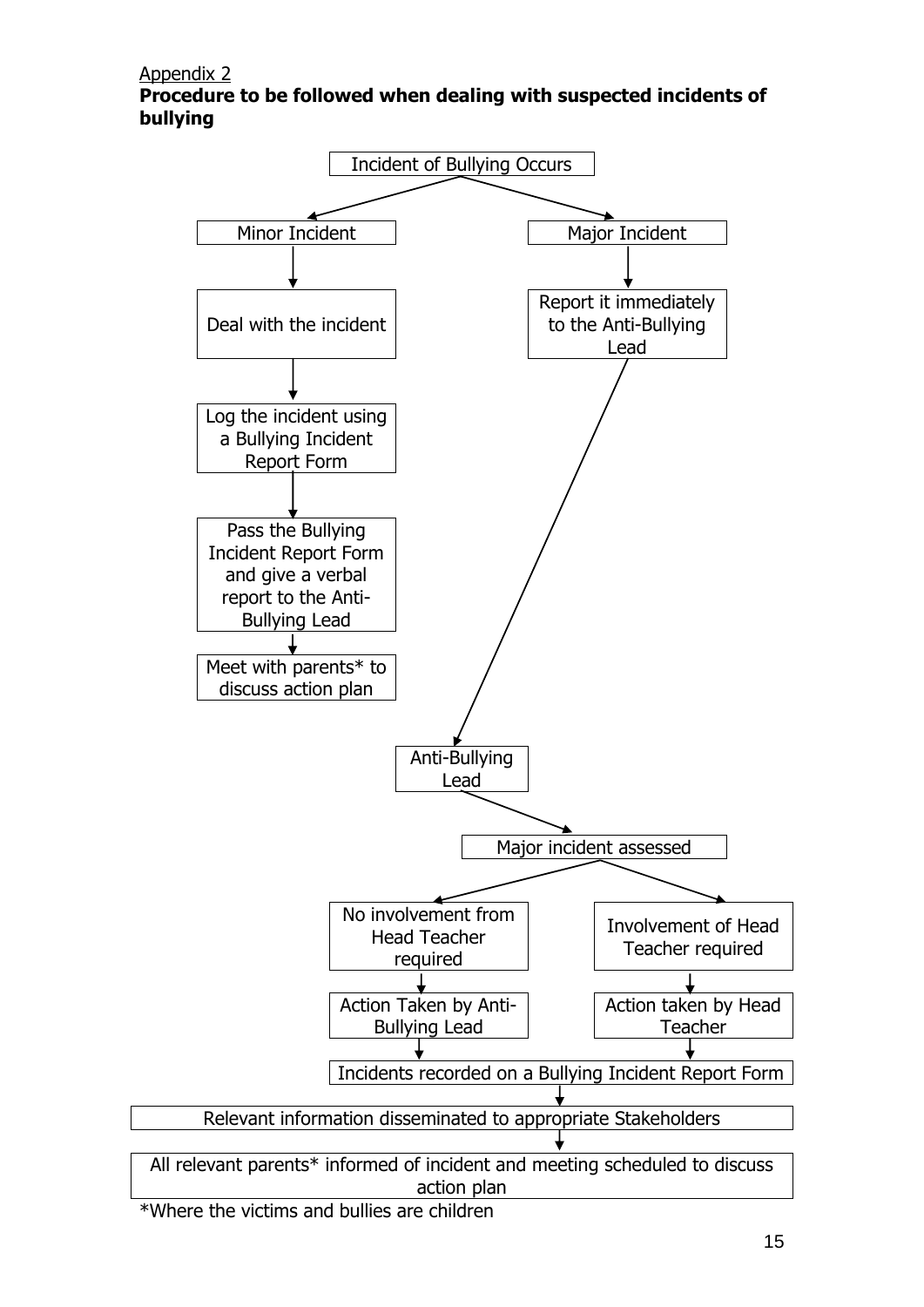Appendix 2

**Procedure to be followed when dealing with suspected incidents of bullying**



\*Where the victims and bullies are children